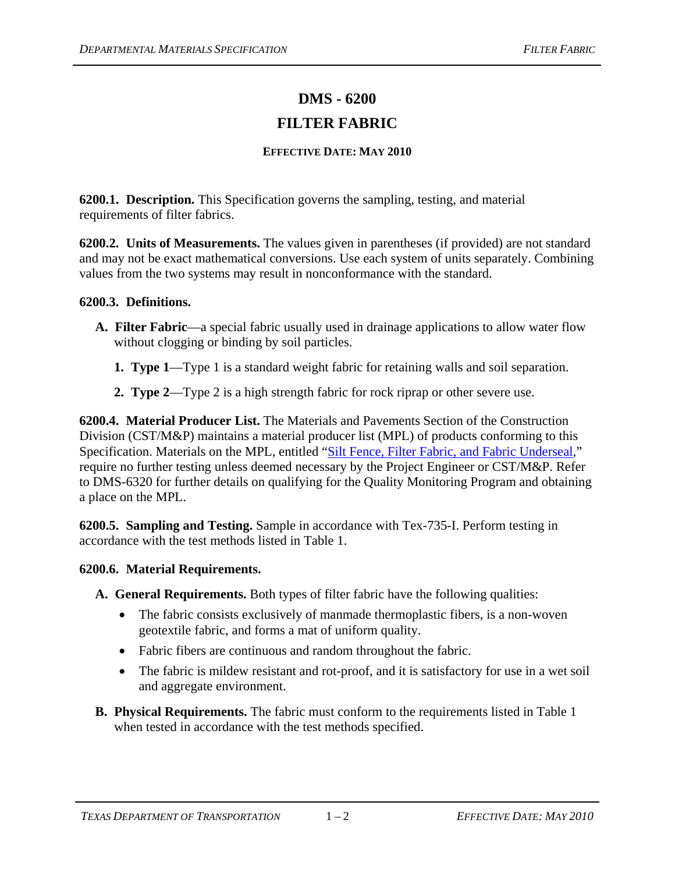## **DMS - 6200 FILTER FABRIC**

## **EFFECTIVE DATE: MAY 2010**

**6200.1. Description.** This Specification governs the sampling, testing, and material requirements of filter fabrics.

**6200.2. Units of Measurements.** The values given in parentheses (if provided) are not standard and may not be exact mathematical conversions. Use each system of units separately. Combining values from the two systems may result in nonconformance with the standard.

## **6200.3. Definitions.**

- **A. Filter Fabric**—a special fabric usually used in drainage applications to allow water flow without clogging or binding by soil particles.
	- **1. Type 1**—Type 1 is a standard weight fabric for retaining walls and soil separation.
	- **2. Type 2**—Type 2 is a high strength fabric for rock riprap or other severe use.

**6200.4. Material Producer List.** The Materials and Pavements Section of the Construction Division (CST/M&P) maintains a material producer list (MPL) of products conforming to this Specification. Materials on the MPL, entitled ["Silt Fence, Filter Fabric, and Fabric Underseal,](ftp://ftp.dot.state.tx.us/pub/txdot-info/cmd/mpl/siltfnce.pdf)" require no further testing unless deemed necessary by the Project Engineer or CST/M&P. Refer to DMS-6320 for further details on qualifying for the Quality Monitoring Program and obtaining a place on the MPL.

**6200.5. Sampling and Testing.** Sample in accordance with Tex-735-I. Perform testing in accordance with the test methods listed in Table 1.

## **6200.6. Material Requirements.**

**A. General Requirements.** Both types of filter fabric have the following qualities:

- The fabric consists exclusively of manmade thermoplastic fibers, is a non-woven geotextile fabric, and forms a mat of uniform quality.
- Fabric fibers are continuous and random throughout the fabric.
- The fabric is mildew resistant and rot-proof, and it is satisfactory for use in a wet soil and aggregate environment.
- **B. Physical Requirements.** The fabric must conform to the requirements listed in Table 1 when tested in accordance with the test methods specified.